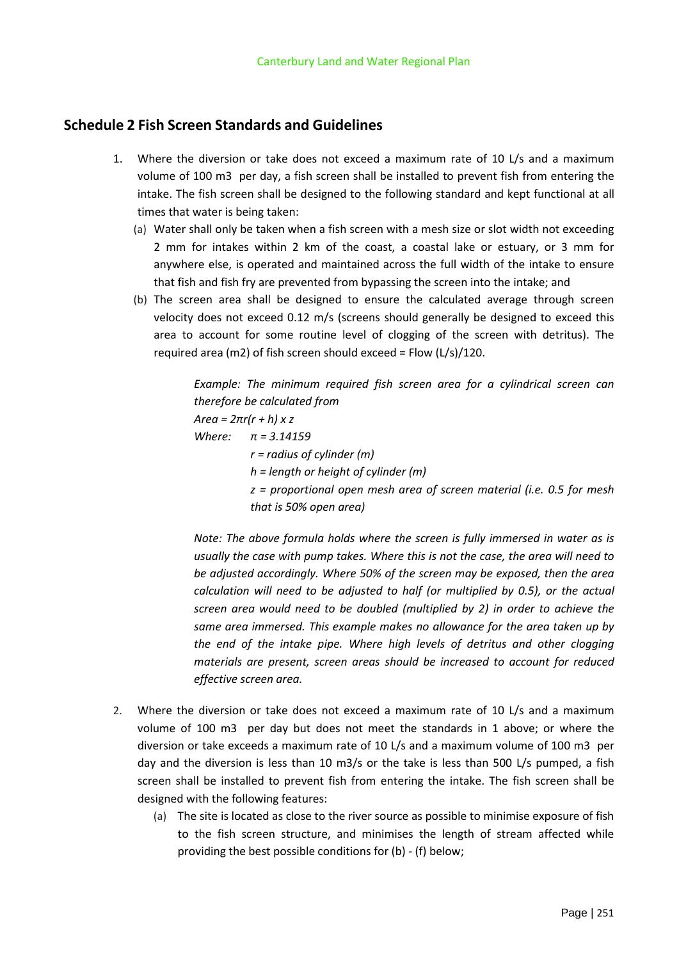## **Schedule 2 Fish Screen Standards and Guidelines**

- 1. Where the diversion or take does not exceed a maximum rate of 10 L/s and a maximum volume of 100 m3 per day, a fish screen shall be installed to prevent fish from entering the intake. The fish screen shall be designed to the following standard and kept functional at all times that water is being taken:
	- (a) Water shall only be taken when a fish screen with a mesh size or slot width not exceeding 2 mm for intakes within 2 km of the coast, a coastal lake or estuary, or 3 mm for anywhere else, is operated and maintained across the full width of the intake to ensure that fish and fish fry are prevented from bypassing the screen into the intake; and
	- (b) The screen area shall be designed to ensure the calculated average through screen velocity does not exceed 0.12 m/s (screens should generally be designed to exceed this area to account for some routine level of clogging of the screen with detritus). The required area (m2) of fish screen should exceed = Flow (L/s)/120.

*Example: The minimum required fish screen area for a cylindrical screen can therefore be calculated from Area = 2πr(r + h) x z Where: π = 3.14159 r = radius of cylinder (m) h = length or height of cylinder (m) z = proportional open mesh area of screen material (i.e. 0.5 for mesh that is 50% open area)*

*Note: The above formula holds where the screen is fully immersed in water as is usually the case with pump takes. Where this is not the case, the area will need to be adjusted accordingly. Where 50% of the screen may be exposed, then the area calculation will need to be adjusted to half (or multiplied by 0.5), or the actual screen area would need to be doubled (multiplied by 2) in order to achieve the same area immersed. This example makes no allowance for the area taken up by the end of the intake pipe. Where high levels of detritus and other clogging materials are present, screen areas should be increased to account for reduced effective screen area.*

- 2. Where the diversion or take does not exceed a maximum rate of 10 L/s and a maximum volume of 100 m3 per day but does not meet the standards in 1 above; or where the diversion or take exceeds a maximum rate of 10 L/s and a maximum volume of 100 m3 per day and the diversion is less than 10 m3/s or the take is less than 500 L/s pumped, a fish screen shall be installed to prevent fish from entering the intake. The fish screen shall be designed with the following features:
	- (a) The site is located as close to the river source as possible to minimise exposure of fish to the fish screen structure, and minimises the length of stream affected while providing the best possible conditions for (b) - (f) below;